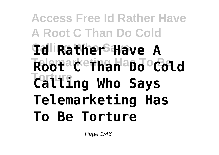# **Access Free Id Rather Have A Root C Than Do Cold Calling Who Says Id Rather Have A Rootarethan aDo Cold Torture Calling Who Says Telemarketing Has To Be Torture**

Page 1/46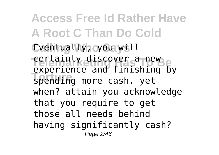**Access Free Id Rather Have A Root C Than Do Cold Calling Who Says** Eventually, you will rertainly discover a new **Torture** spending more cash. yet experience and finishing by when? attain you acknowledge that you require to get those all needs behind having significantly cash? Page 2/46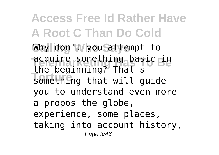**Access Free Id Rather Have A Root C Than Do Cold** Why don't you Sattempt to **Telemark Something basic in The segiming:** That s the beginning? That's you to understand even more a propos the globe, experience, some places, taking into account history, Page 3/46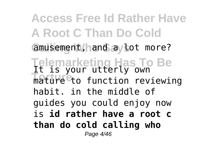**Access Free Id Rather Have A Root C Than Do Cold** amusement, hand ay tot more? **Telemarketing Has To Be** It is your utterly own **Torture** to function reviewing habit. in the middle of guides you could enjoy now is **id rather have a root c than do cold calling who** Page 4/46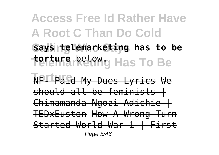**Access Free Id Rather Have A Root C Than Do Cold Calling Who Says says telemarketing has to be Telemarketing Has To Be torture** below.

**Torture** NF- Paid My Dues Lyrics We should all be feminists | Chimamanda Ngozi Adichie | TEDxEuston How A Wrong Turn Started World War 1 | First Page 5/46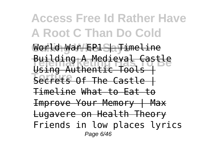**Access Free Id Rather Have A Root C Than Do Cold** World War EP1 Sayimeline **Building A Medieval Castle The Castle Secrets Of The Castle |** Using Authentic Tools | Timeline What to Eat to Improve Your Memory | Max Lugavere on Health Theory Friends in low places lyrics Page 6/46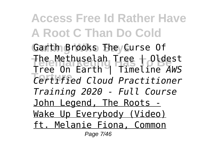**Access Free Id Rather Have A Root C Than Do Cold** Garth Brooks They Curse Of **Telemarketing Has To Be** Tree On Earth | Timeline *AWS* **Torture** *Certified Cloud Practitioner* The Methuselah Tree | Oldest *Training 2020 - Full Course* John Legend, The Roots - Wake Up Everybody (Video) ft. Melanie Fiona, Common Page 7/46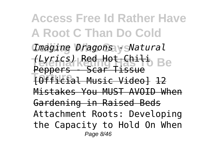**Access Free Id Rather Have A Root C Than Do Cold Calling Who Says** *Imagine Dragons - Natural* **Telemarketing Has To Be** *(Lyrics)* Red Hot Chili **Torture** [Official Music Video] 12 Peppers - Scar Tissue Mistakes You MUST AVOID When Gardening in Raised Beds Attachment Roots: Developing the Capacity to Hold On When Page 8/46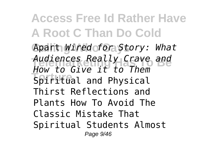**Access Free Id Rather Have A Root C Than Do Cold Calling Who Says** Apart *Wired for Story: What* Audiences Really Crave and **Torture** Site it to them *How to Give it to Them* Thirst Reflections and Plants How To Avoid The Classic Mistake That Spiritual Students Almost Page 9/46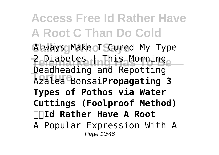**Access Free Id Rather Have A Root C Than Do Cold** Always Make **I Scured My Type Telemarketing Has Morning Torture** Azalea Bonsai**Propagating 3** 2 Diabetes | This Morning Deadheading and Repotting **Types of Pothos via Water Cuttings (Foolproof Method) Id Rather Have A Root** A Popular Expression With A Page 10/46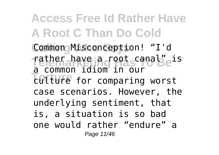**Access Free Id Rather Have A Root C Than Do Cold** Commong Misconception! "I'd Tather have a root canal<sup>"</sup>eis **Torture** culture for comparing worst a common idiom in our case scenarios. However, the underlying sentiment, that is, a situation is so bad one would rather "endure" a Page 11/46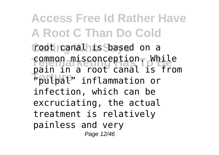**Access Free Id Rather Have A Root C Than Do Cold Calling Who Says** root canal is based on a **Common misconception. While Torture** "pulpal" inflammation or pain in a root canal is from infection, which can be excruciating, the actual treatment is relatively painless and very Page 12/46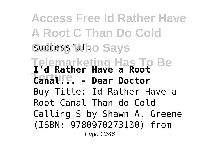**Access Free Id Rather Have A Root C Than Do Cold** Successfulho Says **Telemarketing Has To Be I'd Rather Have a Root Torture:** Have a Root Buy Title: Id Rather Have a Root Canal Than do Cold Calling S by Shawn A. Greene (ISBN: 9780970273130) from Page 13/46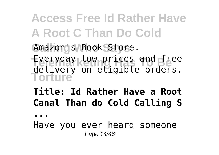**Access Free Id Rather Have A Root C Than Do Cold** Amazon's Book Store. **Everyday low prices and free Torture** delivery on eligible orders.

#### **Title: Id Rather Have a Root Canal Than do Cold Calling S**

**...**

Have you ever heard someone Page 14/46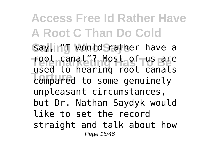**Access Free Id Rather Have A Root C Than Do Cold** Say, In'd Would Srather have a **Telemarketing Has To Be** root canal"? Most of us are **Torture** compared to some genuinely used to hearing root canals unpleasant circumstances, but Dr. Nathan Saydyk would like to set the record straight and talk about how Page 15/46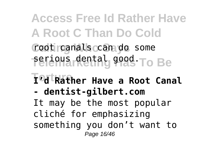**Access Free Id Rather Have A Root C Than Do Cold Calling Who Says** root canals can do some **Serious dental good To Be**  $\mathbf{T}$ <sup>o</sup>d Rather Have a Root Canal **- dentist-gilbert.com** It may be the most popular cliché for emphasizing something you don't want to Page 16/46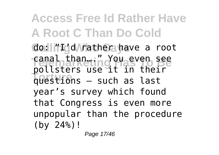**Access Free Id Rather Have A Root C Than Do Cold** do: liftdd Mathera have a root ranal than ... my You even see potesters ase it in their pollsters use it in their year's survey which found that Congress is even more unpopular than the procedure (by 24%)!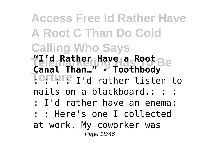**Access Free Id Rather Have A Root C Than Do Cold Calling Who Says Telemarketing Has To Be "I'd Rather Have a Root Torture** I'd rather listen to **Canal Than…" - Toothbody** nails on a blackboard.: : : : I'd rather have an enema: : : Here's one I collected at work. My coworker was Page 18/46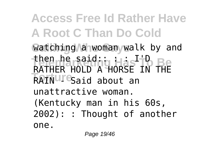**Access Free Id Rather Have A Root C Than Do Cold** Watching a woman walk by and then he said:: Has <sup>I+</sup>D Be RAIN T<sup>e</sup>Said about an RATHER HOLD A HORSE IN THE unattractive woman. (Kentucky man in his 60s, 2002): : Thought of another one.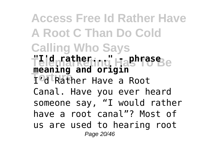**Access Free Id Rather Have A Root C Than Do Cold Calling Who Says Telemarketing Has To Be "I'd rather..." - phrase Torture** I'd Rather Have a Root **meaning and origin** Canal. Have you ever heard someone say, "I would rather have a root canal"? Most of us are used to hearing root Page 20/46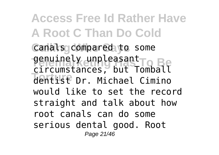**Access Free Id Rather Have A Root C Than Do Cold** Canals compared to some **Tenuinely unpleasant Torture** dentist Dr. Michael Cimino circumstances, but Tomball would like to set the record straight and talk about how root canals can do some serious dental good. Root Page 21/46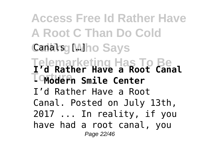**Access Free Id Rather Have A Root C Than Do Cold** Canals **Canals** [MIho Says **Telemarketing Has To Be I'd Rather Have a Root Canal Tontudefin** Smile Center I'd Rather Have a Root Canal. Posted on July 13th, 2017 ... In reality, if you have had a root canal, you Page 22/46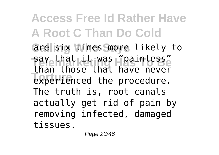**Access Free Id Rather Have A Root C Than Do Cold** are isix times Smore likely to **Telemarks** Has "painless" **Engineer critical conductance** than those that have never The truth is, root canals actually get rid of pain by removing infected, damaged tissues.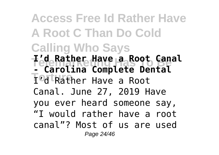**Access Free Id Rather Have A Root C Than Do Cold Calling Who Says Telemarketing Has To Be - Carolina Complete Dental TodtRather Have a Root I'd Rather Have a Root Canal** Canal. June 27, 2019 Have you ever heard someone say, "I would rather have a root canal"? Most of us are used Page 24/46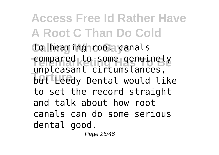**Access Free Id Rather Have A Root C Than Do Cold** to hearing root canals compared to some genuinely **The Casant Circums cances,** unpleasant circumstances, to set the record straight and talk about how root canals can do some serious dental good.

Page 25/46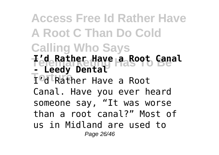**Access Free Id Rather Have A Root C Than Do Cold Calling Who Says Telemarketing Has To Be I'd Rather Have a Root Canal T<sup>odt</sup>Rather Have a Root - Leedy Dental** Canal. Have you ever heard someone say, "It was worse than a root canal?" Most of us in Midland are used to Page 26/46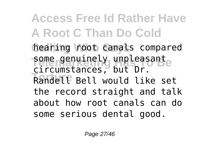**Access Free Id Rather Have A Root C Than Do Cold** hearing **root canals** compared some genuinely unpleasante **Torture** Randell Bell would like set circumstances, but Dr. the record straight and talk about how root canals can do some serious dental good.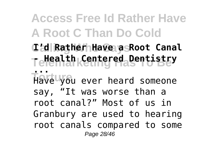### **Access Free Id Rather Have A Root C Than Do Cold**

**Calling Who Says I'd Rather Have a Root Canal Telemarketing Has To Be - Health Centered Dentistry**

**Tiave** voi **...** Have you ever heard someone say, "It was worse than a root canal?" Most of us in Granbury are used to hearing root canals compared to some Page 28/46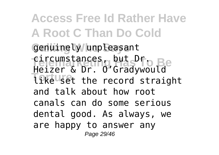**Access Free Id Rather Have A Root C Than Do Cold Calling Who Says** genuinely unpleasant **Telephone Has To Be The set of the record straight** Heizer & Dr. O'Gradywould and talk about how root canals can do some serious dental good. As always, we are happy to answer any Page 29/46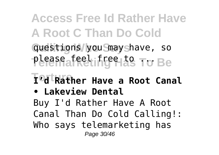**Access Free Id Rather Have A Root C Than Do Cold Calling Who Says** questions you may have, so please af eel inge Has To Be

## $\mathbf{T}$ <sup>o</sup>d Rather Have a Root Canal

**• Lakeview Dental**

Buy I'd Rather Have A Root Canal Than Do Cold Calling!: Who says telemarketing has Page 30/46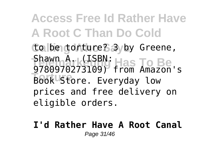**Access Free Id Rather Have A Root C Than Do Cold Calling Who Says** to be torture? 3 by Greene, Shawn A. <sub>K</sub>(ISBN: Has To Be **Book Store.** Everyday low 9780970273109) from Amazon's prices and free delivery on eligible orders.

**I'd Rather Have A Root Canal** Page 31/46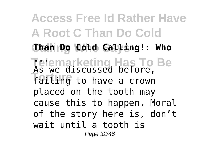**Access Free Id Rather Have A Root C Than Do Cold Calling Who Says Than Do Cold Calling!: Who Telemarketing Has To Be ... The dividends of service**, As we discussed before, placed on the tooth may cause this to happen. Moral of the story here is, don't wait until a tooth is Page 32/46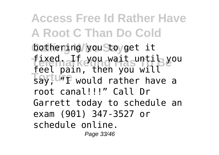**Access Free Id Rather Have A Root C Than Do Cold Calling Who Says** bothering you to get it **fixed.aFfexou wait until you Toy; U"I** would rather have a feel pain, then you will root canal!!!" Call Dr Garrett today to schedule an exam (901) 347-3527 or schedule online. Page 33/46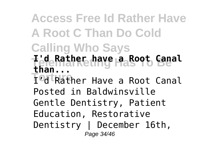# **Access Free Id Rather Have A Root C Than Do Cold**

- **Calling Who Says**
- **Telemarketing Has To Be I'd Rather have a Root Canal than...**

**Torture** I'd Rather Have a Root Canal Posted in Baldwinsville Gentle Dentistry, Patient Education, Restorative Dentistry | December 16th, Page 34/46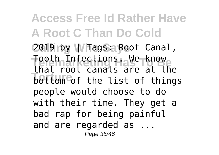**Access Free Id Rather Have A Root C Than Do Cold** 2019 by Whags: Root Canal, Tooth Infections. We know **That root canals are at the**<br> **bottom** of the list of things that root canals are at the people would choose to do with their time. They get a bad rap for being painful and are regarded as ... Page 35/46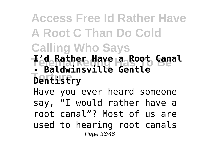### **Access Free Id Rather Have A Root C Than Do Cold Calling Who Says**

**Telemarketing Has To Be I'd Rather Have a Root Canal Torture Dentistry - Baldwinsville Gentle**

Have you ever heard someone say, "I would rather have a root canal"? Most of us are used to hearing root canals Page 36/46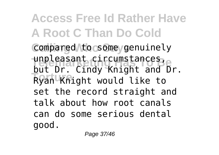**Access Free Id Rather Have A Root C Than Do Cold** Compared to some genuinely unpleasant circumstances,<br>but Dr. Cindy Knight and Dr. **Torture** *The City Anisyng and* unpleasant circumstances, set the record straight and talk about how root canals can do some serious dental good.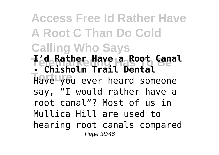**Access Free Id Rather Have A Root C Than Do Cold Calling Who Says Telemarketing Has To Be I'd Rather Have a Root Canal Torture** Have you ever heard someone **- Chisholm Trail Dental** say, "I would rather have a root canal"? Most of us in Mullica Hill are used to hearing root canals compared Page 38/46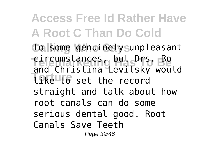**Access Free Id Rather Have A Root C Than Do Cold Calling Who Says** to some genuinely unpleasant **Telephone Books Telephone Books Books Books Books Books Books Books Books Books Books Books Books Books Books B Tike to** set the record and Christina Levitsky would straight and talk about how root canals can do some serious dental good. Root Canals Save Teeth Page 39/46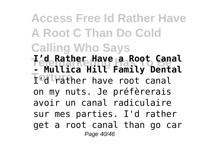**Access Free Id Rather Have A Root C Than Do Cold Calling Who Says Telemarketing Has To Be I'd Rather Have a Root Canal Todirather have root canal - Mullica Hill Family Dental** on my nuts. Je préfèrerais avoir un canal radiculaire sur mes parties. I'd rather get a root canal than go car Page 40/46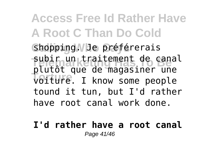**Access Free Id Rather Have A Root C Than Do Cold Calling Who Says** shopping. Je préférerais subir un traitement de cana<br>plutôt que de magasiner une **Torture** voiture. I know some people subir un traitement de canal tound it tun, but I'd rather have root canal work done.

#### **I'd rather have a root canal** Page 41/46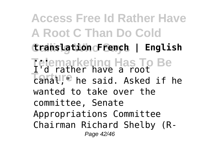**Access Free Id Rather Have A Root C Than Do Cold Calling Who Says translation French | English Telemarketing Has To Be ... Torture** have a rose I'd rather have a root wanted to take over the committee, Senate Appropriations Committee Chairman Richard Shelby (R-Page 42/46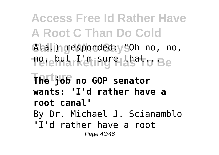**Access Free Id Rather Have A Root C Than Do Cold Calling Who Says** Ala.) responded: "Oh no, no, **ፐ**ዌͿeϺärk'ሮበiၵឬՐԲIቴსª†o Be **Torture The job no GOP senator wants: 'I'd rather have a root canal'** By Dr. Michael J. Scianamblo "I'd rather have a root Page 43/46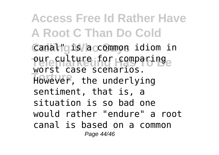**Access Free Id Rather Have A Root C Than Do Cold** Canal" gis a common idiom in pure Fulture for comparing<sub>e</sub> **Torture** However, the underlying worst case scenarios. sentiment, that is, a situation is so bad one would rather "endure" a root canal is based on a common Page 44/46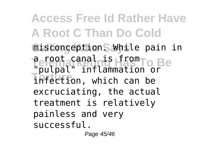**Access Free Id Rather Have A Root C Than Do Cold Calling Who Says** misconception. While pain in **Telepharamatris from To Be Torture** infection, which can be "pulpal" inflammation or excruciating, the actual treatment is relatively painless and very successful.

Page 45/46